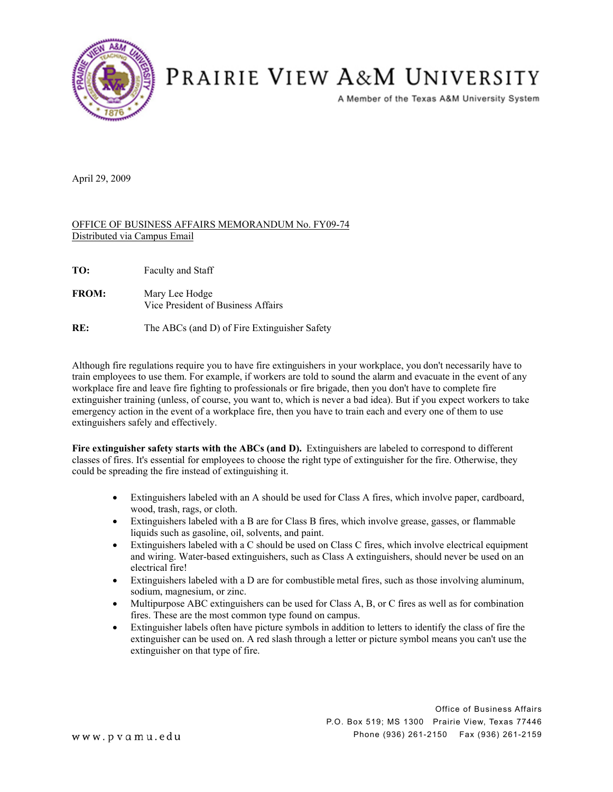

## PRAIRIE VIEW A&M UNIVERSITY

A Member of the Texas A&M University System

April 29, 2009

## OFFICE OF BUSINESS AFFAIRS MEMORANDUM No. FY09-74 Distributed via Campus Email

- **FROM:** Mary Lee Hodge Vice President of Business Affairs
- **RE:** The ABCs (and D) of Fire Extinguisher Safety

Although fire regulations require you to have fire extinguishers in your workplace, you don't necessarily have to train employees to use them. For example, if workers are told to sound the alarm and evacuate in the event of any workplace fire and leave fire fighting to professionals or fire brigade, then you don't have to complete fire extinguisher training (unless, of course, you want to, which is never a bad idea). But if you expect workers to take emergency action in the event of a workplace fire, then you have to train each and every one of them to use extinguishers safely and effectively.

**Fire extinguisher safety starts with the ABCs (and D).** Extinguishers are labeled to correspond to different classes of fires. It's essential for employees to choose the right type of extinguisher for the fire. Otherwise, they could be spreading the fire instead of extinguishing it.

- ! Extinguishers labeled with an A should be used for Class A fires, which involve paper, cardboard, wood, trash, rags, or cloth.
- ! Extinguishers labeled with a B are for Class B fires, which involve grease, gasses, or flammable liquids such as gasoline, oil, solvents, and paint.
- ! Extinguishers labeled with a C should be used on Class C fires, which involve electrical equipment and wiring. Water-based extinguishers, such as Class A extinguishers, should never be used on an electrical fire!
- ! Extinguishers labeled with a D are for combustible metal fires, such as those involving aluminum, sodium, magnesium, or zinc.
- ! Multipurpose ABC extinguishers can be used for Class A, B, or C fires as well as for combination fires. These are the most common type found on campus.
- ! Extinguisher labels often have picture symbols in addition to letters to identify the class of fire the extinguisher can be used on. A red slash through a letter or picture symbol means you can't use the extinguisher on that type of fire.